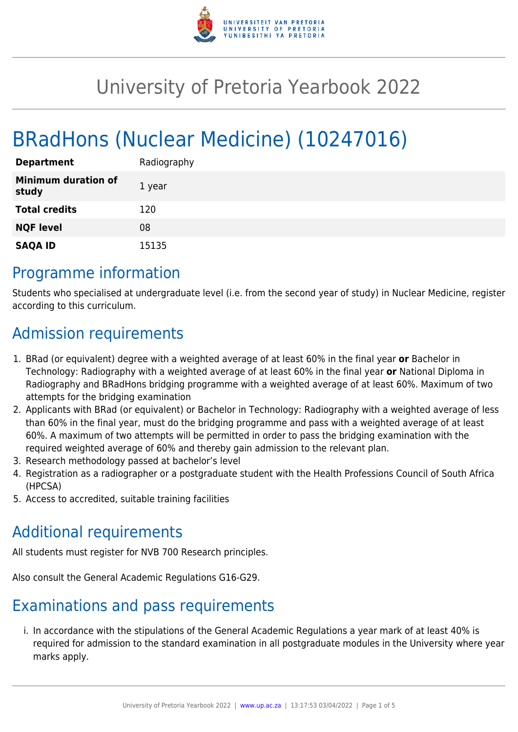

# University of Pretoria Yearbook 2022

# BRadHons (Nuclear Medicine) (10247016)

| <b>Department</b>                   | Radiography |
|-------------------------------------|-------------|
| <b>Minimum duration of</b><br>study | 1 year      |
| <b>Total credits</b>                | 120         |
| <b>NQF level</b>                    | 08          |
| <b>SAQA ID</b>                      | 15135       |

## Programme information

Students who specialised at undergraduate level (i.e. from the second year of study) in Nuclear Medicine, register according to this curriculum.

## Admission requirements

- 1. BRad (or equivalent) degree with a weighted average of at least 60% in the final year **or** Bachelor in Technology: Radiography with a weighted average of at least 60% in the final year **or** National Diploma in Radiography and BRadHons bridging programme with a weighted average of at least 60%. Maximum of two attempts for the bridging examination
- 2. Applicants with BRad (or equivalent) or Bachelor in Technology: Radiography with a weighted average of less than 60% in the final year, must do the bridging programme and pass with a weighted average of at least 60%. A maximum of two attempts will be permitted in order to pass the bridging examination with the required weighted average of 60% and thereby gain admission to the relevant plan.
- 3. Research methodology passed at bachelor's level
- 4. Registration as a radiographer or a postgraduate student with the Health Professions Council of South Africa (HPCSA)
- 5. Access to accredited, suitable training facilities

## Additional requirements

All students must register for NVB 700 Research principles.

Also consult the General Academic Regulations G16-G29.

## Examinations and pass requirements

i. In accordance with the stipulations of the General Academic Regulations a year mark of at least 40% is required for admission to the standard examination in all postgraduate modules in the University where year marks apply.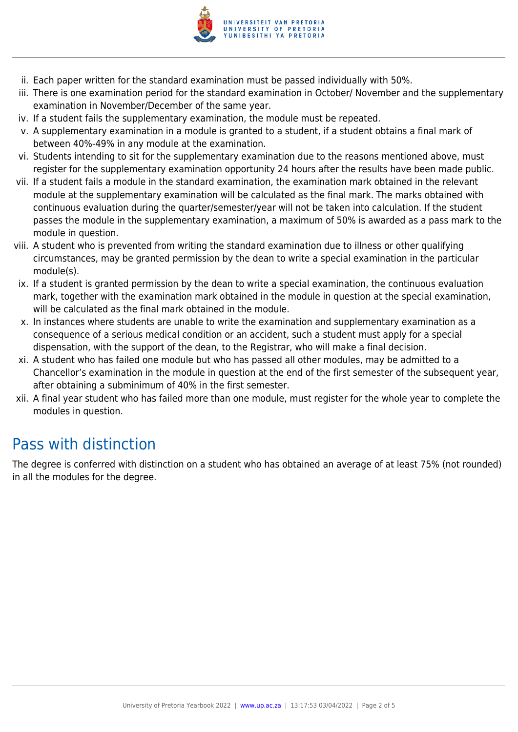

- ii. Each paper written for the standard examination must be passed individually with 50%.
- iii. There is one examination period for the standard examination in October/ November and the supplementary examination in November/December of the same year.
- iv. If a student fails the supplementary examination, the module must be repeated.
- v. A supplementary examination in a module is granted to a student, if a student obtains a final mark of between 40%-49% in any module at the examination.
- vi. Students intending to sit for the supplementary examination due to the reasons mentioned above, must register for the supplementary examination opportunity 24 hours after the results have been made public.
- vii. If a student fails a module in the standard examination, the examination mark obtained in the relevant module at the supplementary examination will be calculated as the final mark. The marks obtained with continuous evaluation during the quarter/semester/year will not be taken into calculation. If the student passes the module in the supplementary examination, a maximum of 50% is awarded as a pass mark to the module in question.
- viii. A student who is prevented from writing the standard examination due to illness or other qualifying circumstances, may be granted permission by the dean to write a special examination in the particular module(s).
- ix. If a student is granted permission by the dean to write a special examination, the continuous evaluation mark, together with the examination mark obtained in the module in question at the special examination, will be calculated as the final mark obtained in the module.
- x. In instances where students are unable to write the examination and supplementary examination as a consequence of a serious medical condition or an accident, such a student must apply for a special dispensation, with the support of the dean, to the Registrar, who will make a final decision.
- xi. A student who has failed one module but who has passed all other modules, may be admitted to a Chancellor's examination in the module in question at the end of the first semester of the subsequent year, after obtaining a subminimum of 40% in the first semester.
- xii. A final year student who has failed more than one module, must register for the whole year to complete the modules in question.

## Pass with distinction

The degree is conferred with distinction on a student who has obtained an average of at least 75% (not rounded) in all the modules for the degree.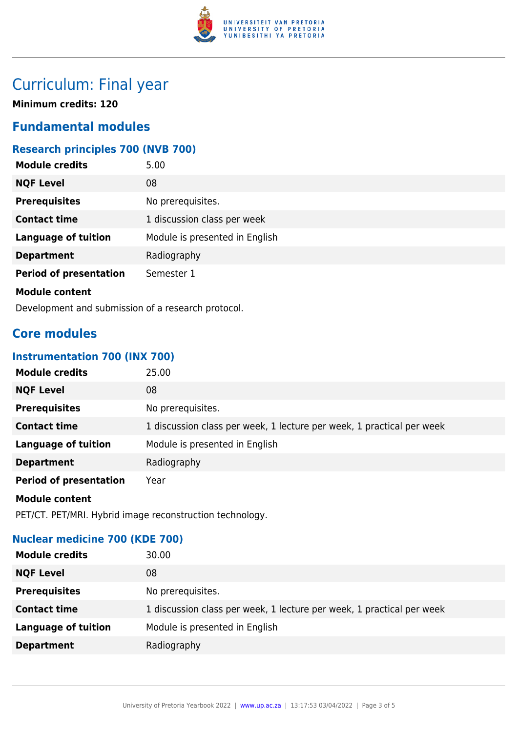

## Curriculum: Final year

**Minimum credits: 120**

### **Fundamental modules**

### **Research principles 700 (NVB 700)**

| <b>Module credits</b>         | 5.00                           |
|-------------------------------|--------------------------------|
| <b>NQF Level</b>              | 08                             |
| <b>Prerequisites</b>          | No prerequisites.              |
| <b>Contact time</b>           | 1 discussion class per week    |
| <b>Language of tuition</b>    | Module is presented in English |
| <b>Department</b>             | Radiography                    |
| <b>Period of presentation</b> | Semester 1                     |
| Module content                |                                |

Development and submission of a research protocol.

## **Core modules**

### **Instrumentation 700 (INX 700)**

| <b>Module credits</b>         | 25.00                                                                 |
|-------------------------------|-----------------------------------------------------------------------|
| <b>NQF Level</b>              | 08                                                                    |
| <b>Prerequisites</b>          | No prerequisites.                                                     |
| <b>Contact time</b>           | 1 discussion class per week, 1 lecture per week, 1 practical per week |
| <b>Language of tuition</b>    | Module is presented in English                                        |
| <b>Department</b>             | Radiography                                                           |
| <b>Period of presentation</b> | Year                                                                  |
| <b>Module content</b>         |                                                                       |
|                               |                                                                       |

PET/CT. PET/MRI. Hybrid image reconstruction technology.

### **Nuclear medicine 700 (KDE 700)**

| <b>Module credits</b>      | 30.00                                                                 |
|----------------------------|-----------------------------------------------------------------------|
| <b>NQF Level</b>           | 08                                                                    |
| <b>Prerequisites</b>       | No prerequisites.                                                     |
| <b>Contact time</b>        | 1 discussion class per week, 1 lecture per week, 1 practical per week |
| <b>Language of tuition</b> | Module is presented in English                                        |
| <b>Department</b>          | Radiography                                                           |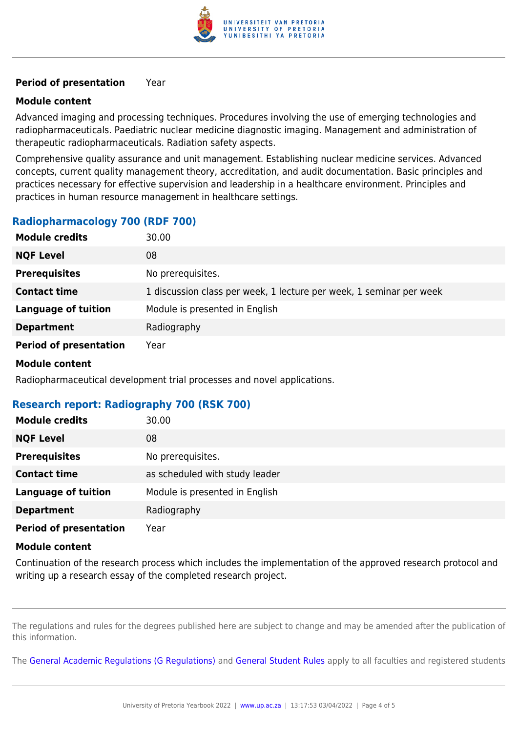

#### **Period of presentation** Year

#### **Module content**

Advanced imaging and processing techniques. Procedures involving the use of emerging technologies and radiopharmaceuticals. Paediatric nuclear medicine diagnostic imaging. Management and administration of therapeutic radiopharmaceuticals. Radiation safety aspects.

Comprehensive quality assurance and unit management. Establishing nuclear medicine services. Advanced concepts, current quality management theory, accreditation, and audit documentation. Basic principles and practices necessary for effective supervision and leadership in a healthcare environment. Principles and practices in human resource management in healthcare settings.

### **Radiopharmacology 700 (RDF 700)**

| <b>Module credits</b>         | 30.00                                                               |
|-------------------------------|---------------------------------------------------------------------|
| <b>NQF Level</b>              | 08                                                                  |
| <b>Prerequisites</b>          | No prerequisites.                                                   |
| <b>Contact time</b>           | 1 discussion class per week, 1 lecture per week, 1 seminar per week |
| <b>Language of tuition</b>    | Module is presented in English                                      |
| <b>Department</b>             | Radiography                                                         |
| <b>Period of presentation</b> | Year                                                                |

#### **Module content**

Radiopharmaceutical development trial processes and novel applications.

### **Research report: Radiography 700 (RSK 700)**

| <b>Module credits</b>         | 30.00                          |
|-------------------------------|--------------------------------|
| <b>NQF Level</b>              | 08                             |
| <b>Prerequisites</b>          | No prerequisites.              |
| <b>Contact time</b>           | as scheduled with study leader |
| <b>Language of tuition</b>    | Module is presented in English |
| <b>Department</b>             | Radiography                    |
| <b>Period of presentation</b> | Year                           |

#### **Module content**

Continuation of the research process which includes the implementation of the approved research protocol and writing up a research essay of the completed research project.

The regulations and rules for the degrees published here are subject to change and may be amended after the publication of this information.

The [General Academic Regulations \(G Regulations\)](https://www.up.ac.za/yearbooks/2022/rules/view/REG) and [General Student Rules](https://www.up.ac.za/yearbooks/2022/rules/view/RUL) apply to all faculties and registered students